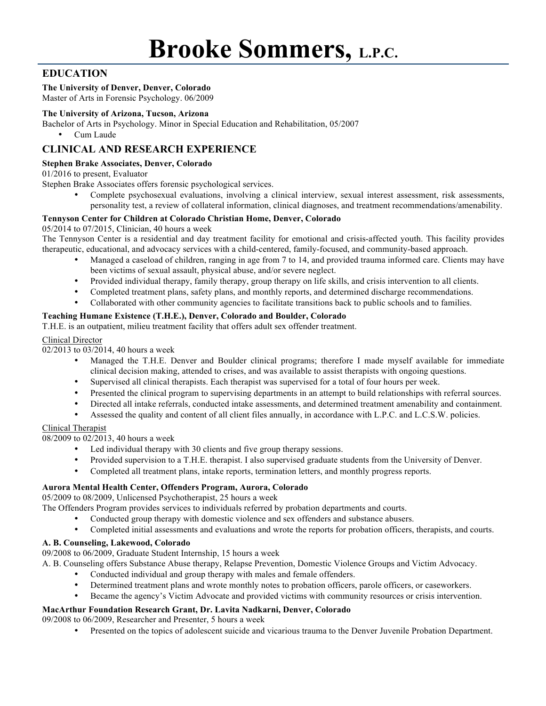# **EDUCATION**

# **The University of Denver, Denver, Colorado**

Master of Arts in Forensic Psychology. 06/2009

# **The University of Arizona, Tucson, Arizona**

Bachelor of Arts in Psychology. Minor in Special Education and Rehabilitation, 05/2007

• Cum Laude

# **CLINICAL AND RESEARCH EXPERIENCE**

# **Stephen Brake Associates, Denver, Colorado**

01/2016 to present, Evaluator

Stephen Brake Associates offers forensic psychological services.

• Complete psychosexual evaluations, involving a clinical interview, sexual interest assessment, risk assessments, personality test, a review of collateral information, clinical diagnoses, and treatment recommendations/amenability.

# **Tennyson Center for Children at Colorado Christian Home, Denver, Colorado**

# 05/2014 to 07/2015, Clinician, 40 hours a week

The Tennyson Center is a residential and day treatment facility for emotional and crisis-affected youth. This facility provides therapeutic, educational, and advocacy services with a child-centered, family-focused, and community-based approach.

- Managed a caseload of children, ranging in age from 7 to 14, and provided trauma informed care. Clients may have been victims of sexual assault, physical abuse, and/or severe neglect.
- Provided individual therapy, family therapy, group therapy on life skills, and crisis intervention to all clients.
- Completed treatment plans, safety plans, and monthly reports, and determined discharge recommendations.
- Collaborated with other community agencies to facilitate transitions back to public schools and to families.

# **Teaching Humane Existence (T.H.E.), Denver, Colorado and Boulder, Colorado**

T.H.E. is an outpatient, milieu treatment facility that offers adult sex offender treatment.

# Clinical Director

02/2013 to 03/2014, 40 hours a week

- Managed the T.H.E. Denver and Boulder clinical programs; therefore I made myself available for immediate clinical decision making, attended to crises, and was available to assist therapists with ongoing questions.
- Supervised all clinical therapists. Each therapist was supervised for a total of four hours per week.
- Presented the clinical program to supervising departments in an attempt to build relationships with referral sources.
- Directed all intake referrals, conducted intake assessments, and determined treatment amenability and containment.
- Assessed the quality and content of all client files annually, in accordance with L.P.C. and L.C.S.W. policies.

# Clinical Therapist

08/2009 to 02/2013, 40 hours a week

- Led individual therapy with 30 clients and five group therapy sessions.
- Provided supervision to a T.H.E. therapist. I also supervised graduate students from the University of Denver.
- Completed all treatment plans, intake reports, termination letters, and monthly progress reports.

# **Aurora Mental Health Center, Offenders Program, Aurora, Colorado**

05/2009 to 08/2009, Unlicensed Psychotherapist, 25 hours a week

The Offenders Program provides services to individuals referred by probation departments and courts.

- Conducted group therapy with domestic violence and sex offenders and substance abusers.
- Completed initial assessments and evaluations and wrote the reports for probation officers, therapists, and courts.

# **A. B. Counseling, Lakewood, Colorado**

09/2008 to 06/2009, Graduate Student Internship, 15 hours a week

A. B. Counseling offers Substance Abuse therapy, Relapse Prevention, Domestic Violence Groups and Victim Advocacy.

- Conducted individual and group therapy with males and female offenders.
- Determined treatment plans and wrote monthly notes to probation officers, parole officers, or caseworkers.
- Became the agency's Victim Advocate and provided victims with community resources or crisis intervention.

# **MacArthur Foundation Research Grant, Dr. Lavita Nadkarni, Denver, Colorado**

09/2008 to 06/2009, Researcher and Presenter, 5 hours a week

• Presented on the topics of adolescent suicide and vicarious trauma to the Denver Juvenile Probation Department.